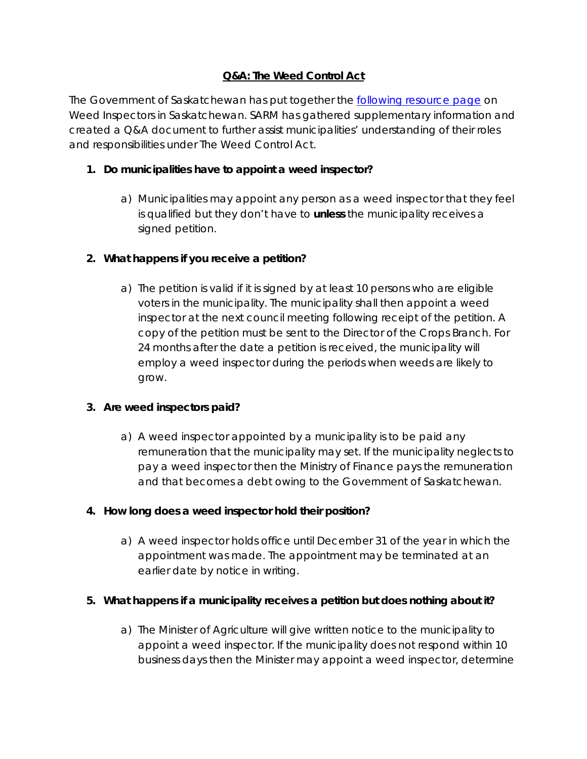# **Q&A:** *The Weed Control Act*

The Government of Saskatchewan has put together the [following resource page](https://www.saskatchewan.ca/business/agriculture-natural-resources-and-industry/agribusiness-farmers-and-ranchers/crops-and-irrigation/crop-protection/weeds/weed-inspectors-in-saskatchewan) on Weed Inspectors in Saskatchewan. SARM has gathered supplementary information and created a Q&A document to further assist municipalities' understanding of their roles and responsibilities under *The Weed Control Act*.

## **1. Do municipalities have to appoint a weed inspector?**

a) Municipalities may appoint any person as a weed inspector that they feel is qualified but they don't have to **unless** the municipality receives a signed petition.

### **2. What happens if you receive a petition?**

a) The petition is valid if it is signed by at least 10 persons who are eligible voters in the municipality. The municipality shall then appoint a weed inspector at the next council meeting following receipt of the petition. A copy of the petition must be sent to the Director of the Crops Branch. For 24 months after the date a petition is received, the municipality will employ a weed inspector during the periods when weeds are likely to grow.

#### **3. Are weed inspectors paid?**

a) A weed inspector appointed by a municipality is to be paid any remuneration that the municipality may set. If the municipality neglects to pay a weed inspector then the Ministry of Finance pays the remuneration and that becomes a debt owing to the Government of Saskatchewan.

## **4. How long does a weed inspector hold their position?**

a) A weed inspector holds office until December 31 of the year in which the appointment was made. The appointment may be terminated at an earlier date by notice in writing.

#### **5. What happens if a municipality receives a petition but does nothing about it?**

a) The Minister of Agriculture will give written notice to the municipality to appoint a weed inspector. If the municipality does not respond within 10 business days then the Minister may appoint a weed inspector, determine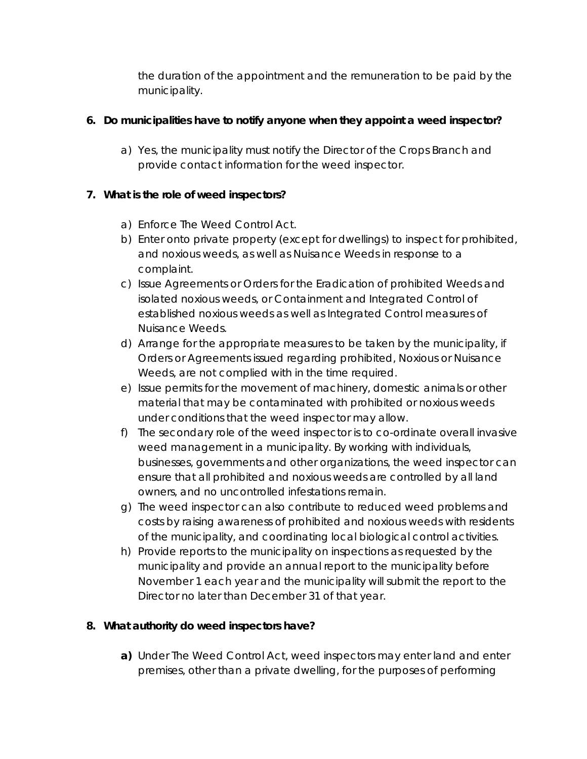the duration of the appointment and the remuneration to be paid by the municipality.

## **6. Do municipalities have to notify anyone when they appoint a weed inspector?**

a) Yes, the municipality must notify the Director of the Crops Branch and provide contact information for the weed inspector.

### **7. What is the role of weed inspectors?**

- a) Enforce *The Weed Control Act.*
- b) Enter onto private property (except for dwellings) to inspect for prohibited, and noxious weeds, as well as Nuisance Weeds in response to a complaint.
- c) Issue Agreements or Orders for the Eradication of prohibited Weeds and isolated noxious weeds, or Containment and Integrated Control of established noxious weeds as well as Integrated Control measures of Nuisance Weeds.
- d) Arrange for the appropriate measures to be taken by the municipality, if Orders or Agreements issued regarding prohibited, Noxious or Nuisance Weeds, are not complied with in the time required.
- e) Issue permits for the movement of machinery, domestic animals or other material that may be contaminated with prohibited or noxious weeds under conditions that the weed inspector may allow.
- f) The secondary role of the weed inspector is to co-ordinate overall invasive weed management in a municipality. By working with individuals, businesses, governments and other organizations, the weed inspector can ensure that all prohibited and noxious weeds are controlled by all land owners, and no uncontrolled infestations remain.
- g) The weed inspector can also contribute to reduced weed problems and costs by raising awareness of prohibited and noxious weeds with residents of the municipality, and coordinating local biological control activities.
- h) Provide reports to the municipality on inspections as requested by the municipality and provide an annual report to the municipality before November 1 each year and the municipality will submit the report to the Director no later than December 31 of that year.

#### **8. What authority do weed inspectors have?**

**a)** Under *The Weed Control Act*, weed inspectors may enter land and enter premises, other than a private dwelling, for the purposes of performing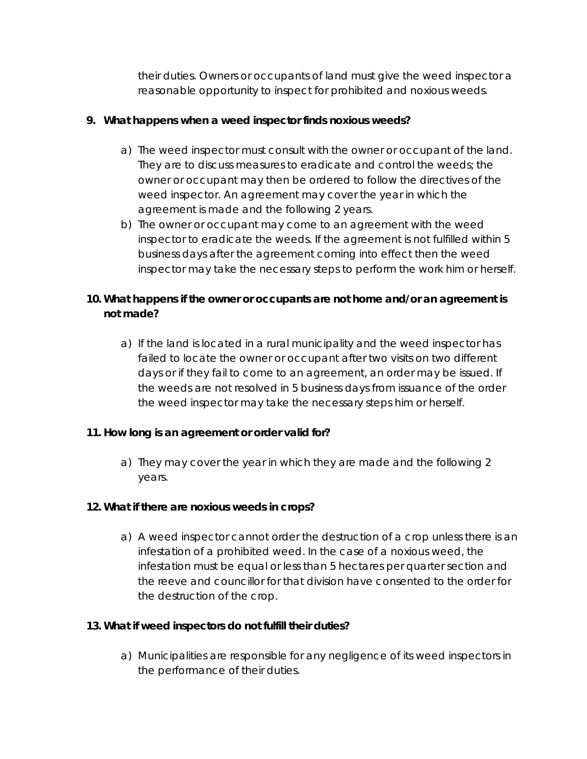their duties. Owners or occupants of land must give the weed inspector a reasonable opportunity to inspect for prohibited and noxious weeds.

#### **9. What happens when a weed inspector finds noxious weeds?**

- a) The weed inspector must consult with the owner or occupant of the land. They are to discuss measures to eradicate and control the weeds; the owner or occupant may then be ordered to follow the directives of the weed inspector. An agreement may cover the year in which the agreement is made and the following 2 years.
- b) The owner or occupant may come to an agreement with the weed inspector to eradicate the weeds. If the agreement is not fulfilled within 5 business days after the agreement coming into effect then the weed inspector may take the necessary steps to perform the work him or herself.

# **10. What happens if the owner or occupants are not home and/or an agreement is not made?**

a) If the land is located in a rural municipality and the weed inspector has failed to locate the owner or occupant after two visits on two different days or if they fail to come to an agreement, an order may be issued. If the weeds are not resolved in 5 business days from issuance of the order the weed inspector may take the necessary steps him or herself.

#### **11. How long is an agreement or order valid for?**

a) They may cover the year in which they are made and the following 2 years.

#### **12. What if there are noxious weeds in crops?**

a) A weed inspector cannot order the destruction of a crop unless there is an infestation of a prohibited weed. In the case of a noxious weed, the infestation must be equal or less than 5 hectares per quarter section and the reeve and councillor for that division have consented to the order for the destruction of the crop.

#### **13. What if weed inspectors do not fulfill their duties?**

a) Municipalities are responsible for any negligence of its weed inspectors in the performance of their duties.